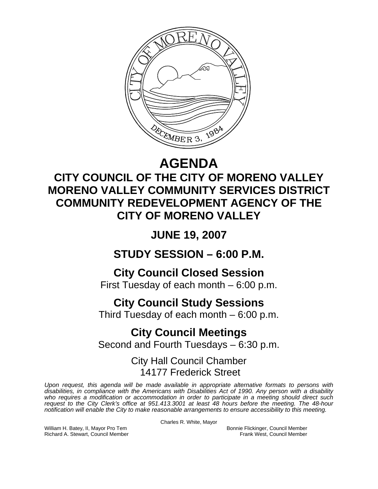

# **AGENDA**

## **CITY COUNCIL OF THE CITY OF MORENO VALLEY MORENO VALLEY COMMUNITY SERVICES DISTRICT COMMUNITY REDEVELOPMENT AGENCY OF THE CITY OF MORENO VALLEY**

**JUNE 19, 2007** 

**STUDY SESSION – 6:00 P.M.** 

**City Council Closed Session** 

First Tuesday of each month – 6:00 p.m.

## **City Council Study Sessions**

Third Tuesday of each month – 6:00 p.m.

## **City Council Meetings**  Second and Fourth Tuesdays – 6:30 p.m.

### City Hall Council Chamber 14177 Frederick Street

*Upon request, this agenda will be made available in appropriate alternative formats to persons with disabilities, in compliance with the Americans with Disabilities Act of 1990. Any person with a disability*  who requires a modification or accommodation in order to participate in a meeting should direct such *request to the City Clerk's office at 951.413.3001 at least 48 hours before the meeting. The 48-hour notification will enable the City to make reasonable arrangements to ensure accessibility to this meeting.* 

Charles R. White, Mayor

William H. Batey, II, Mayor Pro Tem Bonnie Flickinger, Council Member<br>Richard A. Stewart, Council Member **Bonnie Flickinger, Council Member** Frank West, Council Member Richard A. Stewart, Council Member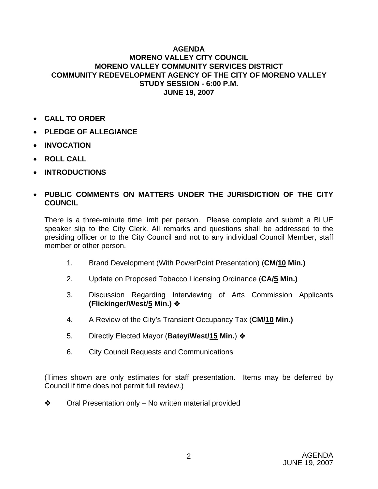### **AGENDA MORENO VALLEY CITY COUNCIL MORENO VALLEY COMMUNITY SERVICES DISTRICT COMMUNITY REDEVELOPMENT AGENCY OF THE CITY OF MORENO VALLEY STUDY SESSION - 6:00 P.M. JUNE 19, 2007**

- **CALL TO ORDER**
- **PLEDGE OF ALLEGIANCE**
- **INVOCATION**
- **ROLL CALL**
- **INTRODUCTIONS**

### • **PUBLIC COMMENTS ON MATTERS UNDER THE JURISDICTION OF THE CITY COUNCIL**

There is a three-minute time limit per person. Please complete and submit a BLUE speaker slip to the City Clerk. All remarks and questions shall be addressed to the presiding officer or to the City Council and not to any individual Council Member, staff member or other person.

- 1. Brand Development (With PowerPoint Presentation) (**CM/10 Min.)**
- 2. Update on Proposed Tobacco Licensing Ordinance (**CA/5 Min.)**
- 3. Discussion Regarding Interviewing of Arts Commission Applicants **(Flickinger/West/5 Min.)**
- 4. A Review of the City's Transient Occupancy Tax (**CM/10 Min.)**
- 5. Directly Elected Mayor (**Batey/West/15 Min.**)
- 6. City Council Requests and Communications

(Times shown are only estimates for staff presentation. Items may be deferred by Council if time does not permit full review.)

 $\triangleleft$  Oral Presentation only – No written material provided